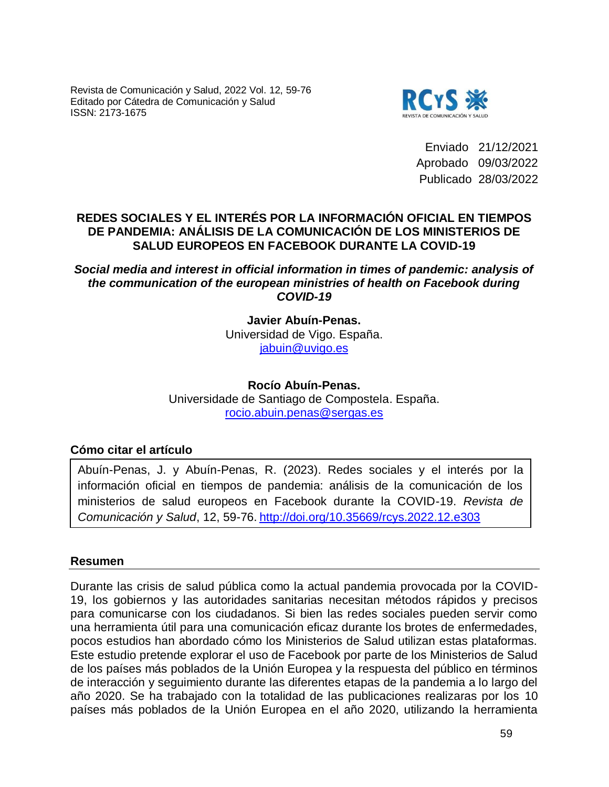Revista de Comunicación y Salud, 2022 Vol. 12, 59-76 Editado por Cátedra de Comunicación y Salud ISSN: 2173-1675



Enviado 21/12/2021 Aprobado 09/03/2022 Publicado 28/03/2022

## **REDES SOCIALES Y EL INTERÉS POR LA INFORMACIÓN OFICIAL EN TIEMPOS DE PANDEMIA: ANÁLISIS DE LA COMUNICACIÓN DE LOS MINISTERIOS DE SALUD EUROPEOS EN FACEBOOK DURANTE LA COVID-19**

*Social media and interest in official information in times of pandemic: analysis of the communication of the european ministries of health on Facebook during COVID-19*

> **Javier Abuín-Penas.** Universidad de Vigo. España. jabuin@uvigo.es

**Rocío Abuín-Penas.** Universidade de Santiago de Compostela. España. rocio.abuin.penas@sergas.es

## **Cómo citar el artículo**

Abuín-Penas, J. y Abuín-Penas, R. (2023). Redes sociales y el interés por la información oficial en tiempos de pandemia: análisis de la comunicación de los ministerios de salud europeos en Facebook durante la COVID-19. *Revista de Comunicación y Salud*, 12, 59-76. http://doi.org/10.35669/rcys.2022.12.e303

#### **Resumen**

Durante las crisis de salud pública como la actual pandemia provocada por la COVID-19, los gobiernos y las autoridades sanitarias necesitan métodos rápidos y precisos para comunicarse con los ciudadanos. Si bien las redes sociales pueden servir como una herramienta útil para una comunicación eficaz durante los brotes de enfermedades, pocos estudios han abordado cómo los Ministerios de Salud utilizan estas plataformas. Este estudio pretende explorar el uso de Facebook por parte de los Ministerios de Salud de los países más poblados de la Unión Europea y la respuesta del público en términos de interacción y seguimiento durante las diferentes etapas de la pandemia a lo largo del año 2020. Se ha trabajado con la totalidad de las publicaciones realizaras por los 10 países más poblados de la Unión Europea en el año 2020, utilizando la herramienta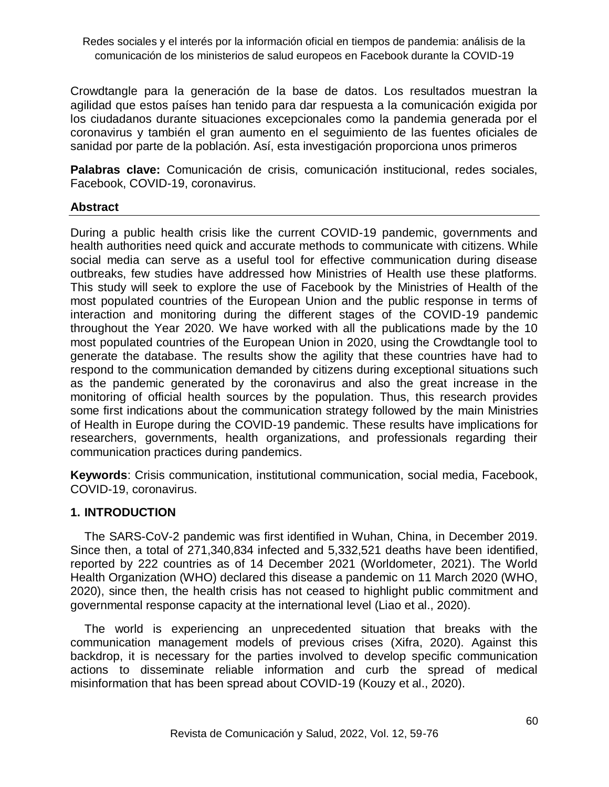Crowdtangle para la generación de la base de datos. Los resultados muestran la agilidad que estos países han tenido para dar respuesta a la comunicación exigida por los ciudadanos durante situaciones excepcionales como la pandemia generada por el coronavirus y también el gran aumento en el seguimiento de las fuentes oficiales de sanidad por parte de la población. Así, esta investigación proporciona unos primeros

**Palabras clave:** Comunicación de crisis, comunicación institucional, redes sociales, Facebook, COVID-19, coronavirus.

## **Abstract**

During a public health crisis like the current COVID-19 pandemic, governments and health authorities need quick and accurate methods to communicate with citizens. While social media can serve as a useful tool for effective communication during disease outbreaks, few studies have addressed how Ministries of Health use these platforms. This study will seek to explore the use of Facebook by the Ministries of Health of the most populated countries of the European Union and the public response in terms of interaction and monitoring during the different stages of the COVID-19 pandemic throughout the Year 2020. We have worked with all the publications made by the 10 most populated countries of the European Union in 2020, using the Crowdtangle tool to generate the database. The results show the agility that these countries have had to respond to the communication demanded by citizens during exceptional situations such as the pandemic generated by the coronavirus and also the great increase in the monitoring of official health sources by the population. Thus, this research provides some first indications about the communication strategy followed by the main Ministries of Health in Europe during the COVID-19 pandemic. These results have implications for researchers, governments, health organizations, and professionals regarding their communication practices during pandemics.

**Keywords**: Crisis communication, institutional communication, social media, Facebook, COVID-19, coronavirus.

#### **1. INTRODUCTION**

The SARS-CoV-2 pandemic was first identified in Wuhan, China, in December 2019. Since then, a total of 271,340,834 infected and 5,332,521 deaths have been identified, reported by 222 countries as of 14 December 2021 (Worldometer, 2021). The World Health Organization (WHO) declared this disease a pandemic on 11 March 2020 (WHO, 2020), since then, the health crisis has not ceased to highlight public commitment and governmental response capacity at the international level (Liao et al., 2020).

The world is experiencing an unprecedented situation that breaks with the communication management models of previous crises (Xifra, 2020). Against this backdrop, it is necessary for the parties involved to develop specific communication actions to disseminate reliable information and curb the spread of medical misinformation that has been spread about COVID-19 (Kouzy et al., 2020).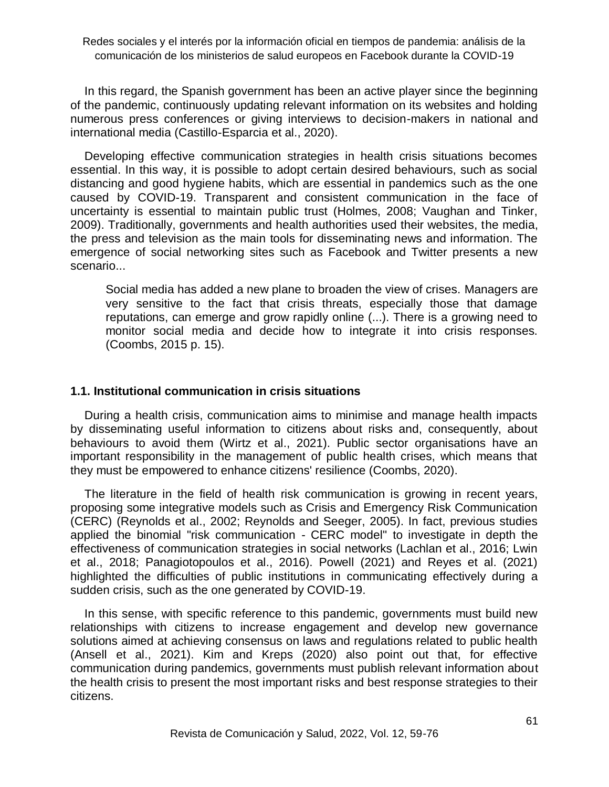In this regard, the Spanish government has been an active player since the beginning of the pandemic, continuously updating relevant information on its websites and holding numerous press conferences or giving interviews to decision-makers in national and international media (Castillo-Esparcia et al., 2020).

Developing effective communication strategies in health crisis situations becomes essential. In this way, it is possible to adopt certain desired behaviours, such as social distancing and good hygiene habits, which are essential in pandemics such as the one caused by COVID-19. Transparent and consistent communication in the face of uncertainty is essential to maintain public trust (Holmes, 2008; Vaughan and Tinker, 2009). Traditionally, governments and health authorities used their websites, the media, the press and television as the main tools for disseminating news and information. The emergence of social networking sites such as Facebook and Twitter presents a new scenario...

Social media has added a new plane to broaden the view of crises. Managers are very sensitive to the fact that crisis threats, especially those that damage reputations, can emerge and grow rapidly online (...). There is a growing need to monitor social media and decide how to integrate it into crisis responses. (Coombs, 2015 p. 15).

#### **1.1. Institutional communication in crisis situations**

During a health crisis, communication aims to minimise and manage health impacts by disseminating useful information to citizens about risks and, consequently, about behaviours to avoid them (Wirtz et al., 2021). Public sector organisations have an important responsibility in the management of public health crises, which means that they must be empowered to enhance citizens' resilience (Coombs, 2020).

The literature in the field of health risk communication is growing in recent years, proposing some integrative models such as Crisis and Emergency Risk Communication (CERC) (Reynolds et al., 2002; Reynolds and Seeger, 2005). In fact, previous studies applied the binomial "risk communication - CERC model" to investigate in depth the effectiveness of communication strategies in social networks (Lachlan et al., 2016; Lwin et al., 2018; Panagiotopoulos et al., 2016). Powell (2021) and Reyes et al. (2021) highlighted the difficulties of public institutions in communicating effectively during a sudden crisis, such as the one generated by COVID-19.

In this sense, with specific reference to this pandemic, governments must build new relationships with citizens to increase engagement and develop new governance solutions aimed at achieving consensus on laws and regulations related to public health (Ansell et al., 2021). Kim and Kreps (2020) also point out that, for effective communication during pandemics, governments must publish relevant information about the health crisis to present the most important risks and best response strategies to their citizens.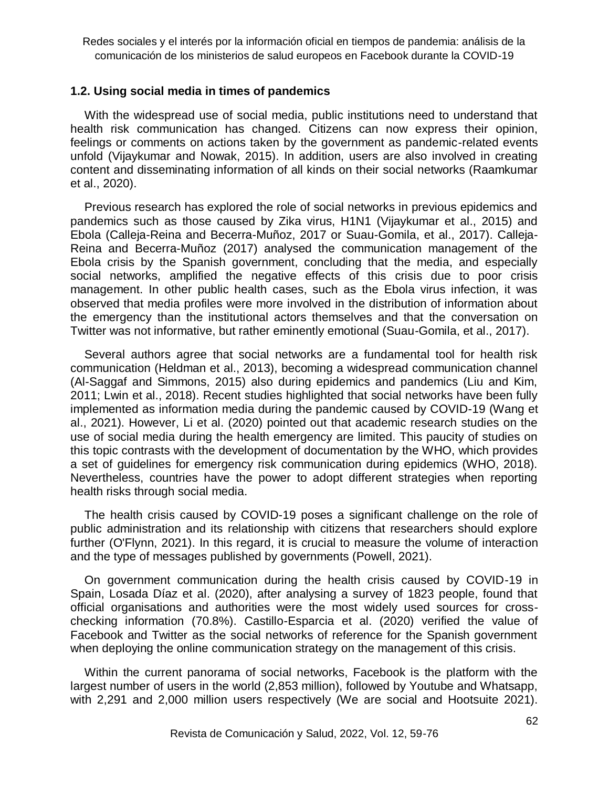#### **1.2. Using social media in times of pandemics**

With the widespread use of social media, public institutions need to understand that health risk communication has changed. Citizens can now express their opinion, feelings or comments on actions taken by the government as pandemic-related events unfold (Vijaykumar and Nowak, 2015). In addition, users are also involved in creating content and disseminating information of all kinds on their social networks (Raamkumar et al., 2020).

Previous research has explored the role of social networks in previous epidemics and pandemics such as those caused by Zika virus, H1N1 (Vijaykumar et al., 2015) and Ebola (Calleja-Reina and Becerra-Muñoz, 2017 or Suau-Gomila, et al., 2017). Calleja-Reina and Becerra-Muñoz (2017) analysed the communication management of the Ebola crisis by the Spanish government, concluding that the media, and especially social networks, amplified the negative effects of this crisis due to poor crisis management. In other public health cases, such as the Ebola virus infection, it was observed that media profiles were more involved in the distribution of information about the emergency than the institutional actors themselves and that the conversation on Twitter was not informative, but rather eminently emotional (Suau-Gomila, et al., 2017).

Several authors agree that social networks are a fundamental tool for health risk communication (Heldman et al., 2013), becoming a widespread communication channel (Al-Saggaf and Simmons, 2015) also during epidemics and pandemics (Liu and Kim, 2011; Lwin et al., 2018). Recent studies highlighted that social networks have been fully implemented as information media during the pandemic caused by COVID-19 (Wang et al., 2021). However, Li et al. (2020) pointed out that academic research studies on the use of social media during the health emergency are limited. This paucity of studies on this topic contrasts with the development of documentation by the WHO, which provides a set of guidelines for emergency risk communication during epidemics (WHO, 2018). Nevertheless, countries have the power to adopt different strategies when reporting health risks through social media.

The health crisis caused by COVID-19 poses a significant challenge on the role of public administration and its relationship with citizens that researchers should explore further (O'Flynn, 2021). In this regard, it is crucial to measure the volume of interaction and the type of messages published by governments (Powell, 2021).

On government communication during the health crisis caused by COVID-19 in Spain, Losada Díaz et al. (2020), after analysing a survey of 1823 people, found that official organisations and authorities were the most widely used sources for crosschecking information (70.8%). Castillo-Esparcia et al. (2020) verified the value of Facebook and Twitter as the social networks of reference for the Spanish government when deploying the online communication strategy on the management of this crisis.

Within the current panorama of social networks, Facebook is the platform with the largest number of users in the world (2,853 million), followed by Youtube and Whatsapp, with 2,291 and 2,000 million users respectively (We are social and Hootsuite 2021).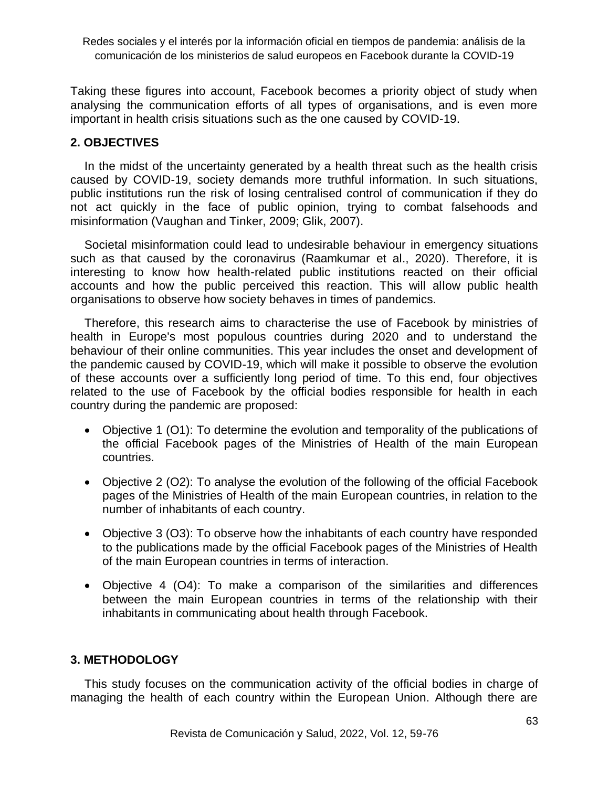Taking these figures into account, Facebook becomes a priority object of study when analysing the communication efforts of all types of organisations, and is even more important in health crisis situations such as the one caused by COVID-19.

## **2. OBJECTIVES**

In the midst of the uncertainty generated by a health threat such as the health crisis caused by COVID-19, society demands more truthful information. In such situations, public institutions run the risk of losing centralised control of communication if they do not act quickly in the face of public opinion, trying to combat falsehoods and misinformation (Vaughan and Tinker, 2009; Glik, 2007).

Societal misinformation could lead to undesirable behaviour in emergency situations such as that caused by the coronavirus (Raamkumar et al., 2020). Therefore, it is interesting to know how health-related public institutions reacted on their official accounts and how the public perceived this reaction. This will allow public health organisations to observe how society behaves in times of pandemics.

Therefore, this research aims to characterise the use of Facebook by ministries of health in Europe's most populous countries during 2020 and to understand the behaviour of their online communities. This year includes the onset and development of the pandemic caused by COVID-19, which will make it possible to observe the evolution of these accounts over a sufficiently long period of time. To this end, four objectives related to the use of Facebook by the official bodies responsible for health in each country during the pandemic are proposed:

- Objective 1 (O1): To determine the evolution and temporality of the publications of the official Facebook pages of the Ministries of Health of the main European countries.
- Objective 2 (O2): To analyse the evolution of the following of the official Facebook pages of the Ministries of Health of the main European countries, in relation to the number of inhabitants of each country.
- Objective 3 (O3): To observe how the inhabitants of each country have responded to the publications made by the official Facebook pages of the Ministries of Health of the main European countries in terms of interaction.
- Objective 4 (O4): To make a comparison of the similarities and differences between the main European countries in terms of the relationship with their inhabitants in communicating about health through Facebook.

## **3. METHODOLOGY**

This study focuses on the communication activity of the official bodies in charge of managing the health of each country within the European Union. Although there are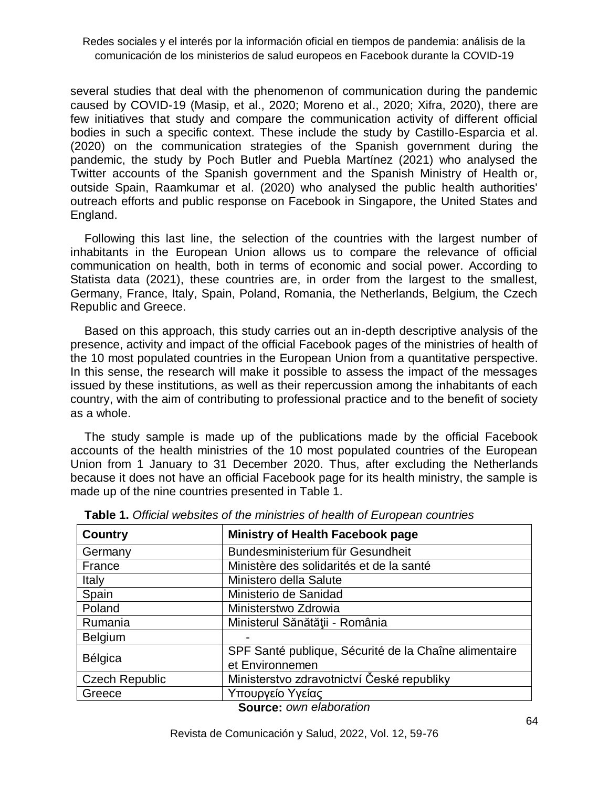several studies that deal with the phenomenon of communication during the pandemic caused by COVID-19 (Masip, et al., 2020; Moreno et al., 2020; Xifra, 2020), there are few initiatives that study and compare the communication activity of different official bodies in such a specific context. These include the study by Castillo-Esparcia et al. (2020) on the communication strategies of the Spanish government during the pandemic, the study by Poch Butler and Puebla Martínez (2021) who analysed the Twitter accounts of the Spanish government and the Spanish Ministry of Health or, outside Spain, Raamkumar et al. (2020) who analysed the public health authorities' outreach efforts and public response on Facebook in Singapore, the United States and England.

Following this last line, the selection of the countries with the largest number of inhabitants in the European Union allows us to compare the relevance of official communication on health, both in terms of economic and social power. According to Statista data (2021), these countries are, in order from the largest to the smallest, Germany, France, Italy, Spain, Poland, Romania, the Netherlands, Belgium, the Czech Republic and Greece.

Based on this approach, this study carries out an in-depth descriptive analysis of the presence, activity and impact of the official Facebook pages of the ministries of health of the 10 most populated countries in the European Union from a quantitative perspective. In this sense, the research will make it possible to assess the impact of the messages issued by these institutions, as well as their repercussion among the inhabitants of each country, with the aim of contributing to professional practice and to the benefit of society as a whole.

The study sample is made up of the publications made by the official Facebook accounts of the health ministries of the 10 most populated countries of the European Union from 1 January to 31 December 2020. Thus, after excluding the Netherlands because it does not have an official Facebook page for its health ministry, the sample is made up of the nine countries presented in Table 1.

| Country               | <b>Ministry of Health Facebook page</b>               |  |  |  |  |
|-----------------------|-------------------------------------------------------|--|--|--|--|
| Germany               | Bundesministerium für Gesundheit                      |  |  |  |  |
| France                | Ministère des solidarités et de la santé              |  |  |  |  |
| <b>Italy</b>          | Ministero della Salute                                |  |  |  |  |
| Spain                 | Ministerio de Sanidad                                 |  |  |  |  |
| Poland                | Ministerstwo Zdrowia                                  |  |  |  |  |
| Rumania               | Ministerul Sănătății - România                        |  |  |  |  |
| <b>Belgium</b>        |                                                       |  |  |  |  |
| Bélgica               | SPF Santé publique, Sécurité de la Chaîne alimentaire |  |  |  |  |
|                       | et Environnemen                                       |  |  |  |  |
| <b>Czech Republic</b> | Ministerstvo zdravotnictví České republiky            |  |  |  |  |
| Greece                | Υπουργείο Υγείας                                      |  |  |  |  |

**Table 1.** *Official websites of the ministries of health of European countries*

**Source:** *own elaboration*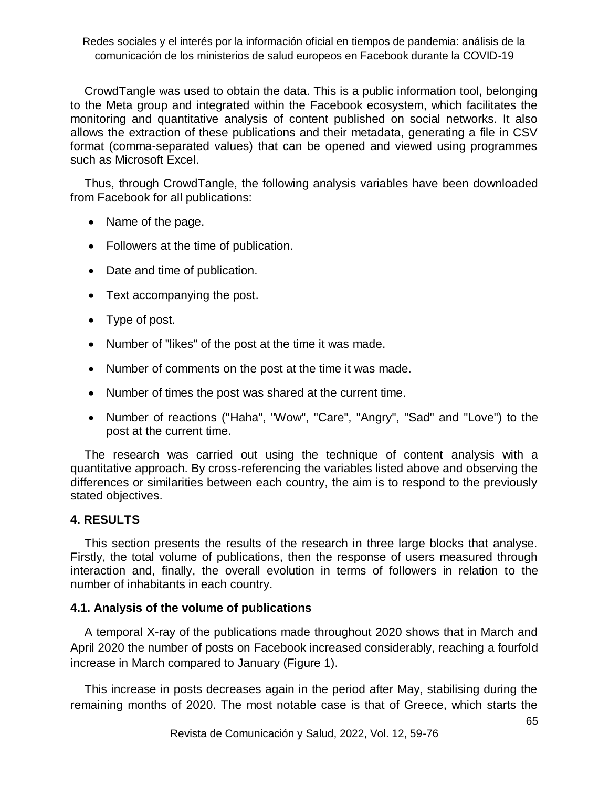CrowdTangle was used to obtain the data. This is a public information tool, belonging to the Meta group and integrated within the Facebook ecosystem, which facilitates the monitoring and quantitative analysis of content published on social networks. It also allows the extraction of these publications and their metadata, generating a file in CSV format (comma-separated values) that can be opened and viewed using programmes such as Microsoft Excel.

Thus, through CrowdTangle, the following analysis variables have been downloaded from Facebook for all publications:

- Name of the page.
- Followers at the time of publication.
- Date and time of publication.
- Text accompanying the post.
- Type of post.
- Number of "likes" of the post at the time it was made.
- Number of comments on the post at the time it was made.
- Number of times the post was shared at the current time.
- Number of reactions ("Haha", "Wow", "Care", "Angry", "Sad" and "Love") to the post at the current time.

The research was carried out using the technique of content analysis with a quantitative approach. By cross-referencing the variables listed above and observing the differences or similarities between each country, the aim is to respond to the previously stated objectives.

## **4. RESULTS**

This section presents the results of the research in three large blocks that analyse. Firstly, the total volume of publications, then the response of users measured through interaction and, finally, the overall evolution in terms of followers in relation to the number of inhabitants in each country.

## **4.1. Analysis of the volume of publications**

A temporal X-ray of the publications made throughout 2020 shows that in March and April 2020 the number of posts on Facebook increased considerably, reaching a fourfold increase in March compared to January (Figure 1).

This increase in posts decreases again in the period after May, stabilising during the remaining months of 2020. The most notable case is that of Greece, which starts the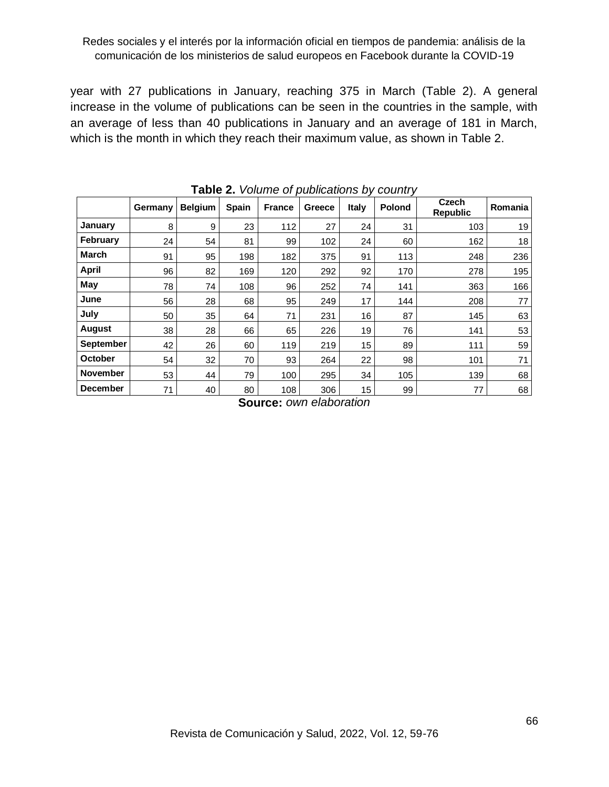year with 27 publications in January, reaching 375 in March (Table 2). A general increase in the volume of publications can be seen in the countries in the sample, with an average of less than 40 publications in January and an average of 181 in March, which is the month in which they reach their maximum value, as shown in Table 2.

|                  |         |                |              |               |        |       | <b>TUDIO E.</b> VOIDING OF DUDIOURDING BY OUGHING |                          |         |
|------------------|---------|----------------|--------------|---------------|--------|-------|---------------------------------------------------|--------------------------|---------|
|                  | Germany | <b>Belgium</b> | <b>Spain</b> | <b>France</b> | Greece | Italy | <b>Polond</b>                                     | Czech<br><b>Republic</b> | Romania |
| January          | 8       | 9              | 23           | 112           | 27     | 24    | 31                                                | 103                      | 19      |
| February         | 24      | 54             | 81           | 99            | 102    | 24    | 60                                                | 162                      | 18      |
| <b>March</b>     | 91      | 95             | 198          | 182           | 375    | 91    | 113                                               | 248                      | 236     |
| <b>April</b>     | 96      | 82             | 169          | 120           | 292    | 92    | 170                                               | 278                      | 195     |
| May              | 78      | 74             | 108          | 96            | 252    | 74    | 141                                               | 363                      | 166     |
| June             | 56      | 28             | 68           | 95            | 249    | 17    | 144                                               | 208                      | 77      |
| July             | 50      | 35             | 64           | 71            | 231    | 16    | 87                                                | 145                      | 63      |
| <b>August</b>    | 38      | 28             | 66           | 65            | 226    | 19    | 76                                                | 141                      | 53      |
| <b>September</b> | 42      | 26             | 60           | 119           | 219    | 15    | 89                                                | 111                      | 59      |
| <b>October</b>   | 54      | 32             | 70           | 93            | 264    | 22    | 98                                                | 101                      | 71      |
| <b>November</b>  | 53      | 44             | 79           | 100           | 295    | 34    | 105                                               | 139                      | 68      |
| <b>December</b>  | 71      | 40             | 80           | 108           | 306    | 15    | 99                                                | 77                       | 68      |

**Table 2.** *Volume of publications by country*

**Source:** *own elaboration*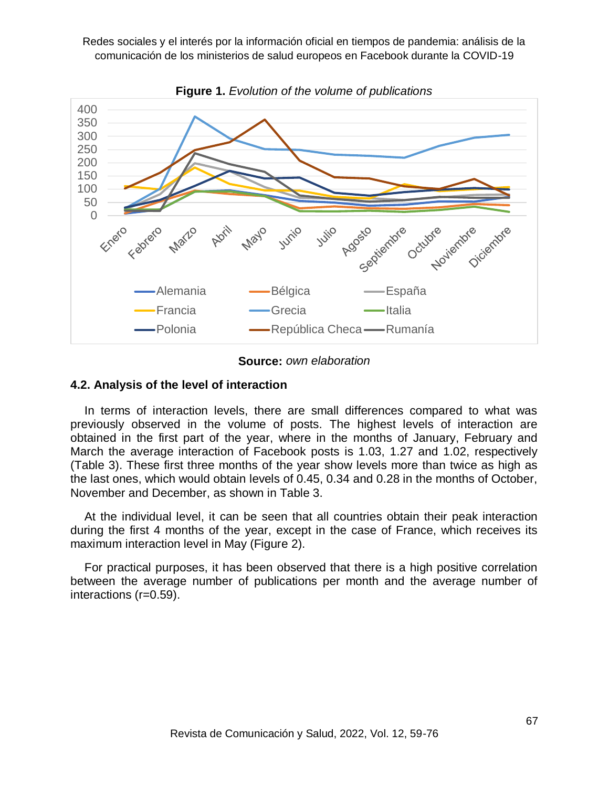

**Figure 1.** *Evolution of the volume of publications*

**Source:** *own elaboration*

#### **4.2. Analysis of the level of interaction**

In terms of interaction levels, there are small differences compared to what was previously observed in the volume of posts. The highest levels of interaction are obtained in the first part of the year, where in the months of January, February and March the average interaction of Facebook posts is 1.03, 1.27 and 1.02, respectively (Table 3). These first three months of the year show levels more than twice as high as the last ones, which would obtain levels of 0.45, 0.34 and 0.28 in the months of October, November and December, as shown in Table 3.

At the individual level, it can be seen that all countries obtain their peak interaction during the first 4 months of the year, except in the case of France, which receives its maximum interaction level in May (Figure 2).

For practical purposes, it has been observed that there is a high positive correlation between the average number of publications per month and the average number of interactions (r=0.59).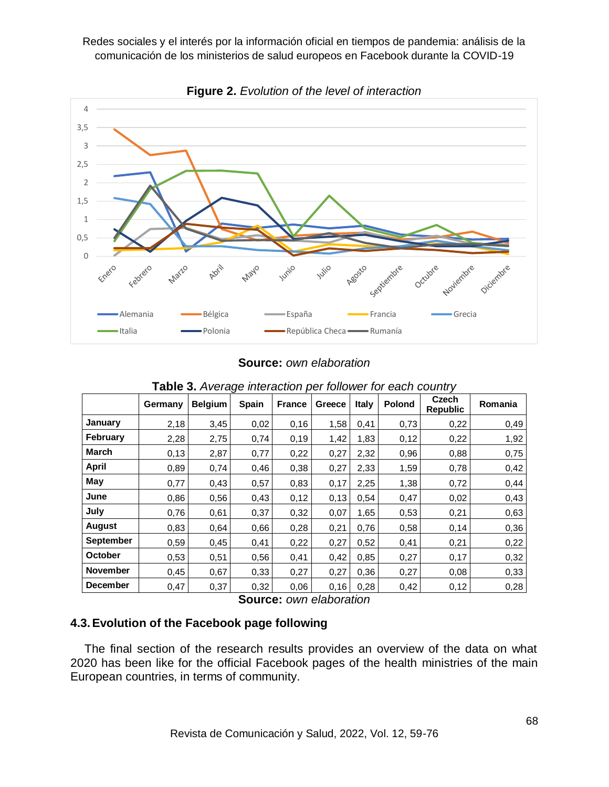

**Figure 2.** *Evolution of the level of interaction*

**Source:** *own elaboration*

|                 | Germany | <b>Belgium</b> | ັ<br><b>Spain</b> | <b>France</b> | Greece | <b>Italy</b> | Polond | <b>Czech</b><br><b>Republic</b> | Romania |
|-----------------|---------|----------------|-------------------|---------------|--------|--------------|--------|---------------------------------|---------|
| January         | 2,18    | 3,45           | 0,02              | 0,16          | 1,58   | 0,41         | 0,73   | 0,22                            | 0,49    |
| <b>February</b> | 2,28    | 2,75           | 0,74              | 0, 19         | 1,42   | 1,83         | 0,12   | 0,22                            | 1,92    |
| <b>March</b>    | 0,13    | 2,87           | 0,77              | 0,22          | 0,27   | 2,32         | 0,96   | 0,88                            | 0,75    |
| April           | 0,89    | 0,74           | 0,46              | 0,38          | 0,27   | 2,33         | 1,59   | 0,78                            | 0,42    |
| May             | 0,77    | 0,43           | 0,57              | 0,83          | 0,17   | 2,25         | 1,38   | 0,72                            | 0,44    |
| June            | 0,86    | 0,56           | 0,43              | 0,12          | 0,13   | 0,54         | 0,47   | 0,02                            | 0,43    |
| July            | 0,76    | 0,61           | 0,37              | 0,32          | 0,07   | 1,65         | 0,53   | 0,21                            | 0,63    |
| <b>August</b>   | 0,83    | 0,64           | 0,66              | 0,28          | 0,21   | 0,76         | 0,58   | 0,14                            | 0,36    |
| September       | 0,59    | 0,45           | 0,41              | 0,22          | 0,27   | 0,52         | 0,41   | 0,21                            | 0,22    |
| October         | 0,53    | 0,51           | 0,56              | 0,41          | 0,42   | 0,85         | 0,27   | 0,17                            | 0,32    |
| <b>November</b> | 0,45    | 0,67           | 0,33              | 0,27          | 0,27   | 0,36         | 0,27   | 0,08                            | 0,33    |
| <b>December</b> | 0,47    | 0,37           | 0,32              | 0,06          | 0,16   | 0,28         | 0,42   | 0,12                            | 0,28    |

**Table 3.** *Average interaction per follower for each country*

**Source:** *own elaboration*

# **4.3.Evolution of the Facebook page following**

The final section of the research results provides an overview of the data on what 2020 has been like for the official Facebook pages of the health ministries of the main European countries, in terms of community.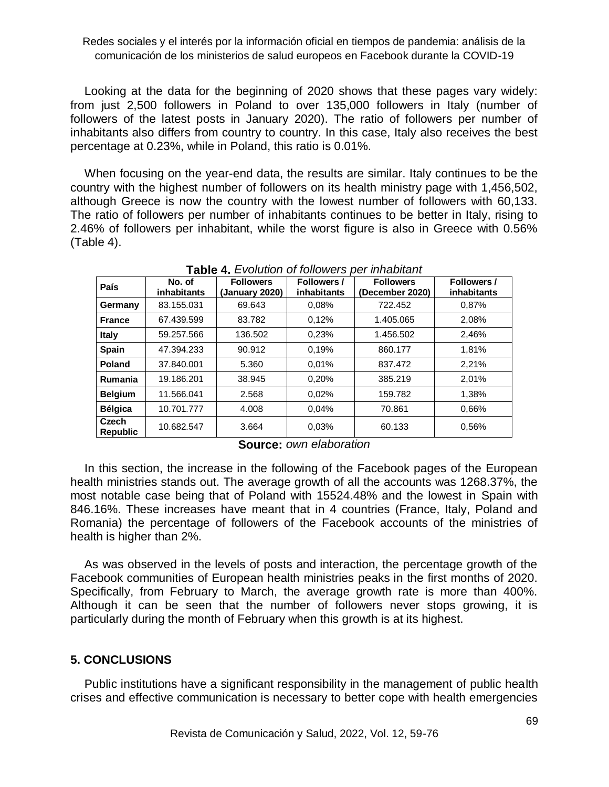Looking at the data for the beginning of 2020 shows that these pages vary widely: from just 2,500 followers in Poland to over 135,000 followers in Italy (number of followers of the latest posts in January 2020). The ratio of followers per number of inhabitants also differs from country to country. In this case, Italy also receives the best percentage at 0.23%, while in Poland, this ratio is 0.01%.

When focusing on the year-end data, the results are similar. Italy continues to be the country with the highest number of followers on its health ministry page with 1,456,502, although Greece is now the country with the lowest number of followers with 60,133. The ratio of followers per number of inhabitants continues to be better in Italy, rising to 2.46% of followers per inhabitant, while the worst figure is also in Greece with 0.56% (Table 4).

| $\mathbf{I}$ and $\mathbf{I}$ $\mathbf{I}$ is the condition of the condition of $\mathbf{I}$ |                              |                                    |                            |                                     |                            |  |  |  |  |
|----------------------------------------------------------------------------------------------|------------------------------|------------------------------------|----------------------------|-------------------------------------|----------------------------|--|--|--|--|
| País                                                                                         | No. of<br><b>inhabitants</b> | <b>Followers</b><br>(January 2020) | Followers /<br>inhabitants | <b>Followers</b><br>(December 2020) | Followers /<br>inhabitants |  |  |  |  |
| Germany                                                                                      | 83.155.031                   | 69.643                             | 0.08%                      | 722.452                             | 0,87%                      |  |  |  |  |
| <b>France</b>                                                                                | 67.439.599                   | 83.782                             | 0,12%                      | 1.405.065                           | 2,08%                      |  |  |  |  |
| <b>Italy</b>                                                                                 | 59.257.566                   | 136.502                            | 0,23%                      | 1.456.502                           | 2,46%                      |  |  |  |  |
| <b>Spain</b>                                                                                 | 47.394.233                   | 90.912                             | 0.19%                      | 860.177                             | 1,81%                      |  |  |  |  |
| <b>Poland</b>                                                                                | 37.840.001                   | 5.360                              | 0.01%                      | 837.472                             | 2,21%                      |  |  |  |  |
| <b>Rumania</b>                                                                               | 19.186.201                   | 38.945                             | 0,20%                      | 385.219                             | 2,01%                      |  |  |  |  |
| <b>Belgium</b>                                                                               | 11.566.041                   | 2.568                              | 0.02%                      | 159.782                             | 1,38%                      |  |  |  |  |
| <b>Bélgica</b>                                                                               | 10.701.777                   | 4.008                              | 0.04%                      | 70.861                              | 0.66%                      |  |  |  |  |
| Czech<br><b>Republic</b>                                                                     | 10.682.547                   | 3.664                              | 0.03%                      | 60.133                              | 0.56%                      |  |  |  |  |

**Table 4.** *Evolution of followers per inhabitant*

**Source:** *own elaboration*

In this section, the increase in the following of the Facebook pages of the European health ministries stands out. The average growth of all the accounts was 1268.37%, the most notable case being that of Poland with 15524.48% and the lowest in Spain with 846.16%. These increases have meant that in 4 countries (France, Italy, Poland and Romania) the percentage of followers of the Facebook accounts of the ministries of health is higher than 2%.

As was observed in the levels of posts and interaction, the percentage growth of the Facebook communities of European health ministries peaks in the first months of 2020. Specifically, from February to March, the average growth rate is more than 400%. Although it can be seen that the number of followers never stops growing, it is particularly during the month of February when this growth is at its highest.

## **5. CONCLUSIONS**

Public institutions have a significant responsibility in the management of public health crises and effective communication is necessary to better cope with health emergencies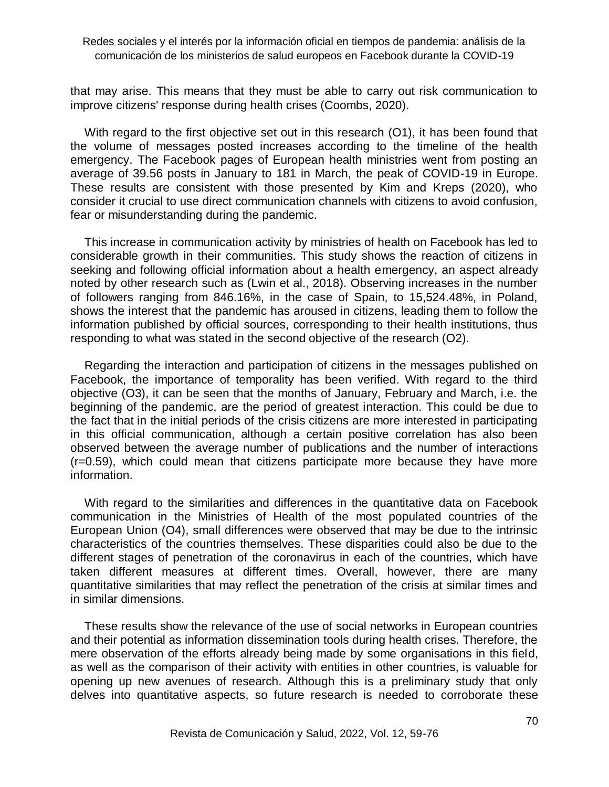that may arise. This means that they must be able to carry out risk communication to improve citizens' response during health crises (Coombs, 2020).

With regard to the first objective set out in this research (O1), it has been found that the volume of messages posted increases according to the timeline of the health emergency. The Facebook pages of European health ministries went from posting an average of 39.56 posts in January to 181 in March, the peak of COVID-19 in Europe. These results are consistent with those presented by Kim and Kreps (2020), who consider it crucial to use direct communication channels with citizens to avoid confusion, fear or misunderstanding during the pandemic.

This increase in communication activity by ministries of health on Facebook has led to considerable growth in their communities. This study shows the reaction of citizens in seeking and following official information about a health emergency, an aspect already noted by other research such as (Lwin et al., 2018). Observing increases in the number of followers ranging from 846.16%, in the case of Spain, to 15,524.48%, in Poland, shows the interest that the pandemic has aroused in citizens, leading them to follow the information published by official sources, corresponding to their health institutions, thus responding to what was stated in the second objective of the research (O2).

Regarding the interaction and participation of citizens in the messages published on Facebook, the importance of temporality has been verified. With regard to the third objective (O3), it can be seen that the months of January, February and March, i.e. the beginning of the pandemic, are the period of greatest interaction. This could be due to the fact that in the initial periods of the crisis citizens are more interested in participating in this official communication, although a certain positive correlation has also been observed between the average number of publications and the number of interactions (r=0.59), which could mean that citizens participate more because they have more information.

With regard to the similarities and differences in the quantitative data on Facebook communication in the Ministries of Health of the most populated countries of the European Union (O4), small differences were observed that may be due to the intrinsic characteristics of the countries themselves. These disparities could also be due to the different stages of penetration of the coronavirus in each of the countries, which have taken different measures at different times. Overall, however, there are many quantitative similarities that may reflect the penetration of the crisis at similar times and in similar dimensions.

These results show the relevance of the use of social networks in European countries and their potential as information dissemination tools during health crises. Therefore, the mere observation of the efforts already being made by some organisations in this field, as well as the comparison of their activity with entities in other countries, is valuable for opening up new avenues of research. Although this is a preliminary study that only delves into quantitative aspects, so future research is needed to corroborate these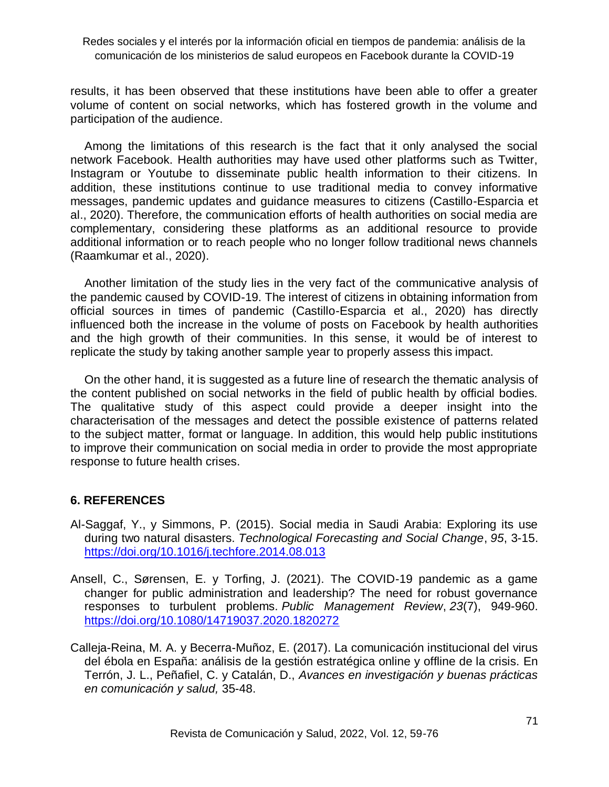results, it has been observed that these institutions have been able to offer a greater volume of content on social networks, which has fostered growth in the volume and participation of the audience.

Among the limitations of this research is the fact that it only analysed the social network Facebook. Health authorities may have used other platforms such as Twitter, Instagram or Youtube to disseminate public health information to their citizens. In addition, these institutions continue to use traditional media to convey informative messages, pandemic updates and guidance measures to citizens (Castillo-Esparcia et al., 2020). Therefore, the communication efforts of health authorities on social media are complementary, considering these platforms as an additional resource to provide additional information or to reach people who no longer follow traditional news channels (Raamkumar et al., 2020).

Another limitation of the study lies in the very fact of the communicative analysis of the pandemic caused by COVID-19. The interest of citizens in obtaining information from official sources in times of pandemic (Castillo-Esparcia et al., 2020) has directly influenced both the increase in the volume of posts on Facebook by health authorities and the high growth of their communities. In this sense, it would be of interest to replicate the study by taking another sample year to properly assess this impact.

On the other hand, it is suggested as a future line of research the thematic analysis of the content published on social networks in the field of public health by official bodies. The qualitative study of this aspect could provide a deeper insight into the characterisation of the messages and detect the possible existence of patterns related to the subject matter, format or language. In addition, this would help public institutions to improve their communication on social media in order to provide the most appropriate response to future health crises.

## **6. REFERENCES**

- Al-Saggaf, Y., y Simmons, P. (2015). Social media in Saudi Arabia: Exploring its use during two natural disasters. *Technological Forecasting and Social Change*, *95*, 3-15. <https://doi.org/10.1016/j.techfore.2014.08.013>
- Ansell, C., Sørensen, E. y Torfing, J. (2021). The COVID-19 pandemic as a game changer for public administration and leadership? The need for robust governance responses to turbulent problems. *Public Management Review*, *23*(7), 949-960. <https://doi.org/10.1080/14719037.2020.1820272>
- Calleja-Reina, M. A. y Becerra-Muñoz, E. (2017). La comunicación institucional del virus del ébola en España: análisis de la gestión estratégica online y offline de la crisis. En Terrón, J. L., Peñafiel, C. y Catalán, D., *Avances en investigación y buenas prácticas en comunicación y salud,* 35-48.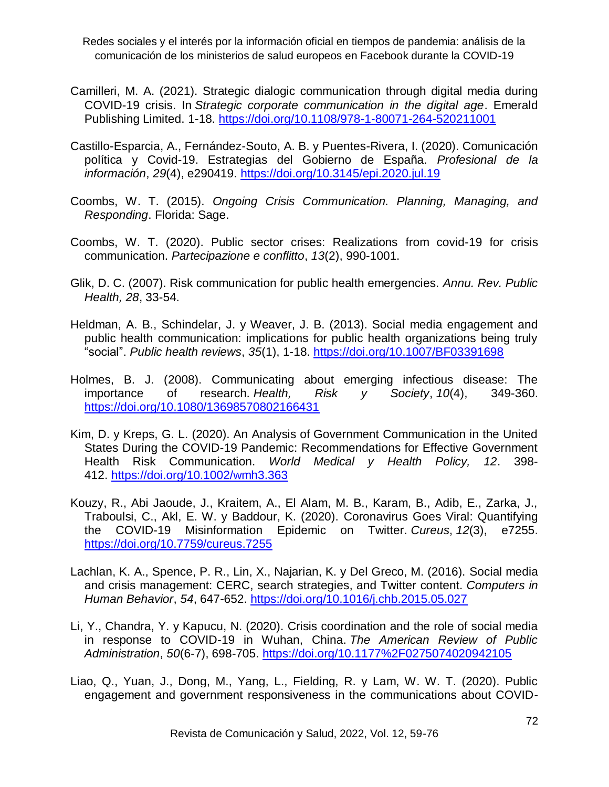- Camilleri, M. A. (2021). Strategic dialogic communication through digital media during COVID-19 crisis. In *Strategic corporate communication in the digital age*. Emerald Publishing Limited. 1-18. <https://doi.org/10.1108/978-1-80071-264-520211001>
- Castillo-Esparcia, A., Fernández-Souto, A. B. y Puentes-Rivera, I. (2020). Comunicación política y Covid-19. Estrategias del Gobierno de España. *Profesional de la información*, *29*(4), e290419.<https://doi.org/10.3145/epi.2020.jul.19>
- Coombs, W. T. (2015). *Ongoing Crisis Communication. Planning, Managing, and Responding*. Florida: Sage.
- Coombs, W. T. (2020). Public sector crises: Realizations from covid-19 for crisis communication. *Partecipazione e conflitto*, *13*(2), 990-1001.
- Glik, D. C. (2007). Risk communication for public health emergencies. *Annu. Rev. Public Health, 28*, 33-54.
- Heldman, A. B., Schindelar, J. y Weaver, J. B. (2013). Social media engagement and public health communication: implications for public health organizations being truly "social". *Public health reviews*, *35*(1), 1-18.<https://doi.org/10.1007/BF03391698>
- Holmes, B. J. (2008). Communicating about emerging infectious disease: The importance of research. *Health, Risk y Society*, *10*(4), 349-360. <https://doi.org/10.1080/13698570802166431>
- Kim, D. y Kreps, G. L. (2020). An Analysis of Government Communication in the United States During the COVID-19 Pandemic: Recommendations for Effective Government Health Risk Communication. *World Medical y Health Policy, 12*. 398- 412. <https://doi.org/10.1002/wmh3.363>
- Kouzy, R., Abi Jaoude, J., Kraitem, A., El Alam, M. B., Karam, B., Adib, E., Zarka, J., Traboulsi, C., Akl, E. W. y Baddour, K. (2020). Coronavirus Goes Viral: Quantifying the COVID-19 Misinformation Epidemic on Twitter. *Cureus*, *12*(3), e7255. <https://doi.org/10.7759/cureus.7255>
- Lachlan, K. A., Spence, P. R., Lin, X., Najarian, K. y Del Greco, M. (2016). Social media and crisis management: CERC, search strategies, and Twitter content. *Computers in Human Behavior*, *54*, 647-652.<https://doi.org/10.1016/j.chb.2015.05.027>
- Li, Y., Chandra, Y. y Kapucu, N. (2020). Crisis coordination and the role of social media in response to COVID-19 in Wuhan, China. *The American Review of Public Administration*, *50*(6-7), 698-705.<https://doi.org/10.1177%2F0275074020942105>
- Liao, Q., Yuan, J., Dong, M., Yang, L., Fielding, R. y Lam, W. W. T. (2020). Public engagement and government responsiveness in the communications about COVID-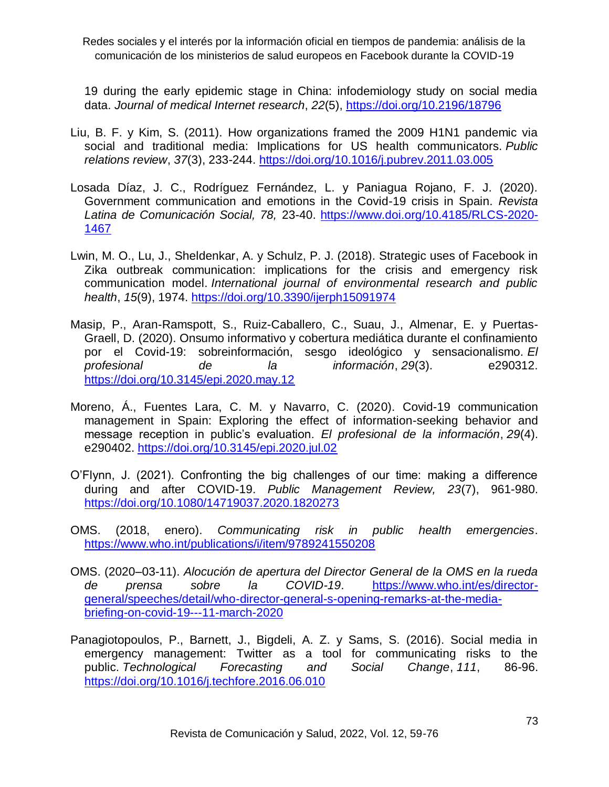19 during the early epidemic stage in China: infodemiology study on social media data. *Journal of medical Internet research*, *22*(5),<https://doi.org/10.2196/18796>

- Liu, B. F. y Kim, S. (2011). How organizations framed the 2009 H1N1 pandemic via social and traditional media: Implications for US health communicators. *Public relations review*, *37*(3), 233-244.<https://doi.org/10.1016/j.pubrev.2011.03.005>
- Losada Díaz, J. C., Rodríguez Fernández, L. y Paniagua Rojano, F. J. (2020). Government communication and emotions in the Covid-19 crisis in Spain. *Revista Latina de Comunicación Social, 78,* 23-40. [https://www.doi.org/10.4185/RLCS-2020-](https://www.doi.org/10.4185/RLCS-2020-1467) [1467](https://www.doi.org/10.4185/RLCS-2020-1467)
- Lwin, M. O., Lu, J., Sheldenkar, A. y Schulz, P. J. (2018). Strategic uses of Facebook in Zika outbreak communication: implications for the crisis and emergency risk communication model. *International journal of environmental research and public health*, *15*(9), 1974.<https://doi.org/10.3390/ijerph15091974>
- Masip, P., Aran-Ramspott, S., Ruiz-Caballero, C., Suau, J., Almenar, E. y Puertas-Graell, D. (2020). Onsumo informativo y cobertura mediática durante el confinamiento por el Covid-19: sobreinformación, sesgo ideológico y sensacionalismo. *El profesional de la información*, *29*(3). e290312. <https://doi.org/10.3145/epi.2020.may.12>
- Moreno, Á., Fuentes Lara, C. M. y Navarro, C. (2020). Covid-19 communication management in Spain: Exploring the effect of information-seeking behavior and message reception in public's evaluation. *El profesional de la información*, *29*(4). e290402.<https://doi.org/10.3145/epi.2020.jul.02>
- O'Flynn, J. (2021). Confronting the big challenges of our time: making a difference during and after COVID-19. *Public Management Review, 23*(7), 961-980. <https://doi.org/10.1080/14719037.2020.1820273>
- OMS. (2018, enero). *Communicating risk in public health emergencies*. <https://www.who.int/publications/i/item/9789241550208>
- OMS. (2020–03-11). *Alocución de apertura del Director General de la OMS en la rueda de prensa sobre la COVID-19*. [https://www.who.int/es/director](https://www.who.int/es/director-general/speeches/detail/who-director-general-s-opening-remarks-at-the-media-briefing-on-covid-19---11-march-2020)[general/speeches/detail/who-director-general-s-opening-remarks-at-the-media](https://www.who.int/es/director-general/speeches/detail/who-director-general-s-opening-remarks-at-the-media-briefing-on-covid-19---11-march-2020)[briefing-on-covid-19---11-march-2020](https://www.who.int/es/director-general/speeches/detail/who-director-general-s-opening-remarks-at-the-media-briefing-on-covid-19---11-march-2020)
- Panagiotopoulos, P., Barnett, J., Bigdeli, A. Z. y Sams, S. (2016). Social media in emergency management: Twitter as a tool for communicating risks to the public. *Technological Forecasting and Social Change*, *111*, 86-96. <https://doi.org/10.1016/j.techfore.2016.06.010>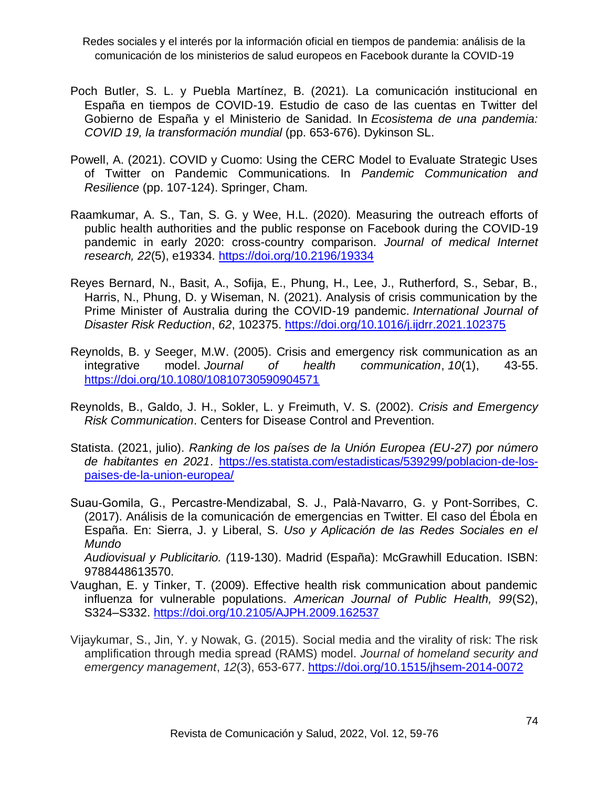- Poch Butler, S. L. y Puebla Martínez, B. (2021). La comunicación institucional en España en tiempos de COVID-19. Estudio de caso de las cuentas en Twitter del Gobierno de España y el Ministerio de Sanidad. In *Ecosistema de una pandemia: COVID 19, la transformación mundial* (pp. 653-676). Dykinson SL.
- Powell, A. (2021). COVID y Cuomo: Using the CERC Model to Evaluate Strategic Uses of Twitter on Pandemic Communications. In *Pandemic Communication and Resilience* (pp. 107-124). Springer, Cham.
- Raamkumar, A. S., Tan, S. G. y Wee, H.L. (2020). Measuring the outreach efforts of public health authorities and the public response on Facebook during the COVID-19 pandemic in early 2020: cross-country comparison. *Journal of medical Internet research, 22*(5), e19334.<https://doi.org/10.2196/19334>
- Reyes Bernard, N., Basit, A., Sofija, E., Phung, H., Lee, J., Rutherford, S., Sebar, B., Harris, N., Phung, D. y Wiseman, N. (2021). Analysis of crisis communication by the Prime Minister of Australia during the COVID-19 pandemic. *International Journal of Disaster Risk Reduction*, *62*, 102375.<https://doi.org/10.1016/j.ijdrr.2021.102375>
- Reynolds, B. y Seeger, M.W. (2005). Crisis and emergency risk communication as an integrative model. *Journal of health communication*, *10*(1), 43-55. <https://doi.org/10.1080/10810730590904571>
- Reynolds, B., Galdo, J. H., Sokler, L. y Freimuth, V. S. (2002). *Crisis and Emergency Risk Communication*. Centers for Disease Control and Prevention.
- Statista. (2021, julio). *Ranking de los países de la Unión Europea (EU-27) por número de habitantes en 2021*. [https://es.statista.com/estadisticas/539299/poblacion-de-los](https://es.statista.com/estadisticas/539299/poblacion-de-los-paises-de-la-union-europea/)[paises-de-la-union-europea/](https://es.statista.com/estadisticas/539299/poblacion-de-los-paises-de-la-union-europea/)
- Suau-Gomila, G., Percastre-Mendizabal, S. J., Palà-Navarro, G. y Pont-Sorribes, C. (2017). Análisis de la comunicación de emergencias en Twitter. El caso del Ébola en España. En: Sierra, J. y Liberal, S. *Uso y Aplicación de las Redes Sociales en el Mundo Audiovisual y Publicitario. (*119-130). Madrid (España): McGrawhill Education. ISBN:

9788448613570. Vaughan, E. y Tinker, T. (2009). Effective health risk communication about pandemic

- influenza for vulnerable populations. *American Journal of Public Health, 99*(S2), S324–S332.<https://doi.org/10.2105/AJPH.2009.162537>
- Vijaykumar, S., Jin, Y. y Nowak, G. (2015). Social media and the virality of risk: The risk amplification through media spread (RAMS) model. *Journal of homeland security and emergency management*, *12*(3), 653-677.<https://doi.org/10.1515/jhsem-2014-0072>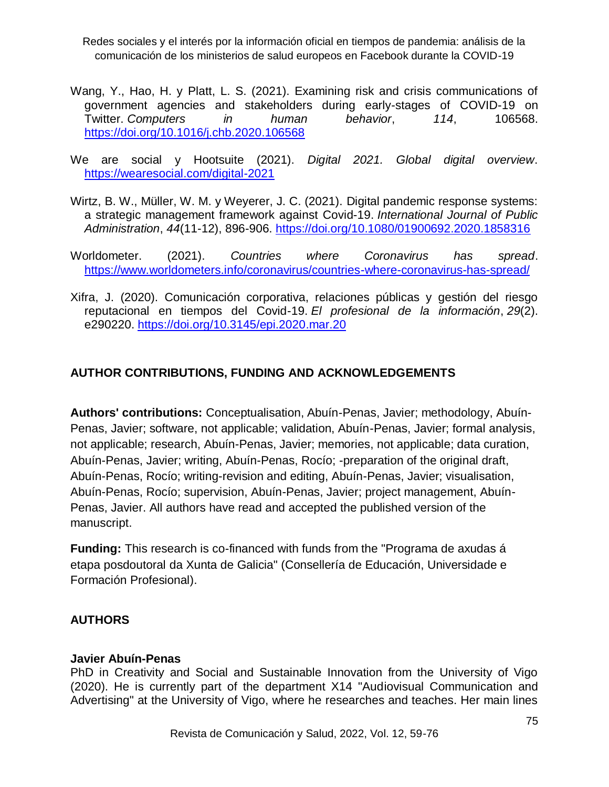- Wang, Y., Hao, H. y Platt, L. S. (2021). Examining risk and crisis communications of government agencies and stakeholders during early-stages of COVID-19 on Twitter. *Computers in human behavior*, *114*, 106568. <https://doi.org/10.1016/j.chb.2020.106568>
- We are social y Hootsuite (2021). *Digital 2021. Global digital overview*. <https://wearesocial.com/digital-2021>
- Wirtz, B. W., Müller, W. M. y Weyerer, J. C. (2021). Digital pandemic response systems: a strategic management framework against Covid-19. *International Journal of Public Administration*, *44*(11-12), 896-906.<https://doi.org/10.1080/01900692.2020.1858316>
- Worldometer. (2021). *Countries where Coronavirus has spread*. <https://www.worldometers.info/coronavirus/countries-where-coronavirus-has-spread/>
- Xifra, J. (2020). Comunicación corporativa, relaciones públicas y gestión del riesgo reputacional en tiempos del Covid-19. *El profesional de la información*, *29*(2). e290220.<https://doi.org/10.3145/epi.2020.mar.20>

# **AUTHOR CONTRIBUTIONS, FUNDING AND ACKNOWLEDGEMENTS**

**Authors' contributions:** Conceptualisation, Abuín-Penas, Javier; methodology, Abuín-Penas, Javier; software, not applicable; validation, Abuín-Penas, Javier; formal analysis, not applicable; research, Abuín-Penas, Javier; memories, not applicable; data curation, Abuín-Penas, Javier; writing, Abuín-Penas, Rocío; -preparation of the original draft, Abuín-Penas, Rocío; writing-revision and editing, Abuín-Penas, Javier; visualisation, Abuín-Penas, Rocío; supervision, Abuín-Penas, Javier; project management, Abuín-Penas, Javier. All authors have read and accepted the published version of the manuscript.

**Funding:** This research is co-financed with funds from the "Programa de axudas á etapa posdoutoral da Xunta de Galicia" (Consellería de Educación, Universidade e Formación Profesional).

# **AUTHORS**

## **Javier Abuín-Penas**

PhD in Creativity and Social and Sustainable Innovation from the University of Vigo (2020). He is currently part of the department X14 "Audiovisual Communication and Advertising" at the University of Vigo, where he researches and teaches. Her main lines